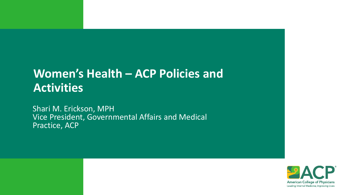## **Women's Health – ACP Policies and Activities**

Shari M. Erickson, MPH Vice President, Governmental Affairs and Medical Practice, ACP

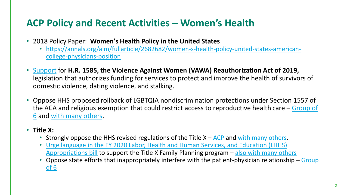## **ACP Policy and Recent Activities – Women's Health**

- 2018 Policy Paper: **Women's Health Policy in the United States**
	- [https://annals.org/aim/fullarticle/2682682/women-s-health-policy-united-states-american](https://annals.org/aim/fullarticle/2682682/women-s-health-policy-united-states-american-college-physicians-position)college-physicians-position
- [Support](http://bit.ly/2RZFpgf) for **H.R. 1585, the Violence Against Women (VAWA) Reauthorization Act of 2019,** legislation that authorizes funding for services to protect and improve the health of survivors of domestic violence, dating violence, and stalking.
- Oppose HHS proposed rollback of LGBTQIA nondiscrimination protections under Section 1557 of [the ACA and religious exemption that could restrict access to reproductive health care](http://bit.ly/2O6cl5O) – Group of 6 and [with many others](https://www.acponline.org/acp_policy/letters/joint_letter_opposing_changes_to_aca_section_1557_lgbtq_nondiscrimination_protection_2019.pdf).

## • **Title X:**

- Strongly oppose the HHS revised regulations of the Title  $X ACP$  $X ACP$  and [with many others.](http://bit.ly/3aOvvGW)
- [Urge language in the FY 2020 Labor, Health and Human Services, and Education \(LHHS\)](http://bit.ly/36xwOa1)  Appropriations bill to support the Title X Family Planning program – [also with many others](https://www.acponline.org/acp_policy/letters/joint_letter_to_senate_on_fy_2020_title_x_appropriations_2019.pdf)
- [Oppose state efforts that inappropriately interfere with the patient-physician relationship](http://www.groupof6.org/content/dam/AAFP/documents/advocacy/prevention/women/ST-Group6-LegislativeInterference-051519.pdf)  Group of 6